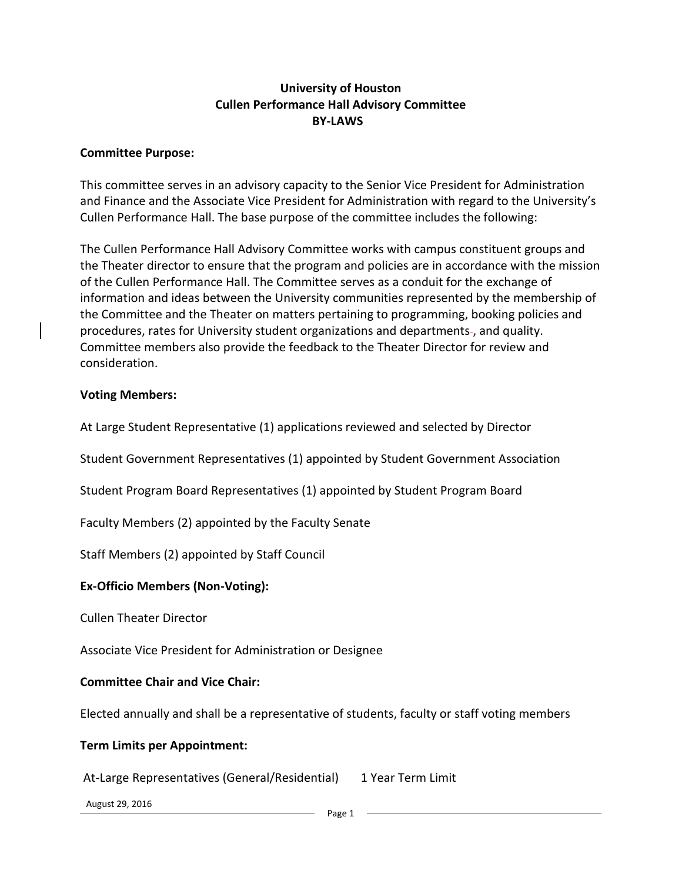## **University of Houston Cullen Performance Hall Advisory Committee BY-LAWS**

#### **Committee Purpose:**

This committee serves in an advisory capacity to the Senior Vice President for Administration and Finance and the Associate Vice President for Administration with regard to the University's Cullen Performance Hall. The base purpose of the committee includes the following:

The Cullen Performance Hall Advisory Committee works with campus constituent groups and the Theater director to ensure that the program and policies are in accordance with the mission of the Cullen Performance Hall. The Committee serves as a conduit for the exchange of information and ideas between the University communities represented by the membership of the Committee and the Theater on matters pertaining to programming, booking policies and procedures, rates for University student organizations and departments-, and quality. Committee members also provide the feedback to the Theater Director for review and consideration.

#### **Voting Members:**

At Large Student Representative (1) applications reviewed and selected by Director

Student Government Representatives (1) appointed by Student Government Association

Student Program Board Representatives (1) appointed by Student Program Board

Faculty Members (2) appointed by the Faculty Senate

Staff Members (2) appointed by Staff Council

#### **Ex-Officio Members (Non-Voting):**

Cullen Theater Director

Associate Vice President for Administration or Designee

#### **Committee Chair and Vice Chair:**

Elected annually and shall be a representative of students, faculty or staff voting members

#### **Term Limits per Appointment:**

At-Large Representatives (General/Residential) 1 Year Term Limit

August 29, 2016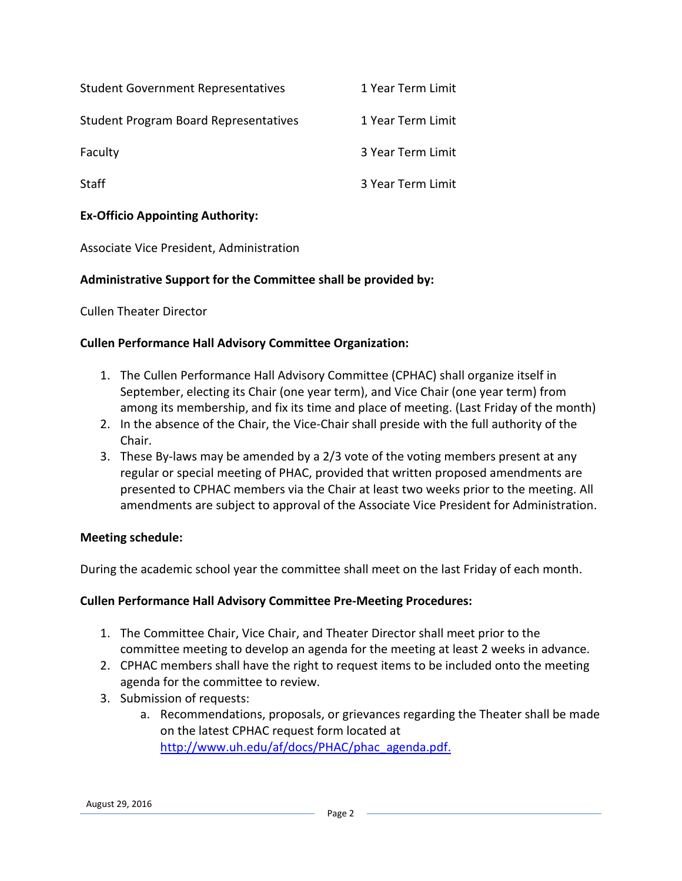| <b>Student Government Representatives</b>    | 1 Year Term Limit |
|----------------------------------------------|-------------------|
| <b>Student Program Board Representatives</b> | 1 Year Term Limit |
| Faculty                                      | 3 Year Term Limit |
| <b>Staff</b>                                 | 3 Year Term Limit |

## **Ex-Officio Appointing Authority:**

Associate Vice President, Administration

### **Administrative Support for the Committee shall be provided by:**

Cullen Theater Director

#### **Cullen Performance Hall Advisory Committee Organization:**

- 1. The Cullen Performance Hall Advisory Committee (CPHAC) shall organize itself in September, electing its Chair (one year term), and Vice Chair (one year term) from among its membership, and fix its time and place of meeting. (Last Friday of the month)
- 2. In the absence of the Chair, the Vice-Chair shall preside with the full authority of the Chair.
- 3. These By-laws may be amended by a 2/3 vote of the voting members present at any regular or special meeting of PHAC, provided that written proposed amendments are presented to CPHAC members via the Chair at least two weeks prior to the meeting. All amendments are subject to approval of the Associate Vice President for Administration.

#### **Meeting schedule:**

During the academic school year the committee shall meet on the last Friday of each month.

#### **Cullen Performance Hall Advisory Committee Pre-Meeting Procedures:**

- 1. The Committee Chair, Vice Chair, and Theater Director shall meet prior to the committee meeting to develop an agenda for the meeting at least 2 weeks in advance.
- 2. CPHAC members shall have the right to request items to be included onto the meeting agenda for the committee to review.
- 3. Submission of requests:
	- a. Recommendations, proposals, or grievances regarding the Theater shall be made on the latest CPHAC request form located at http://www.uh.edu/af/docs/PHAC/phac\_agenda.pdf.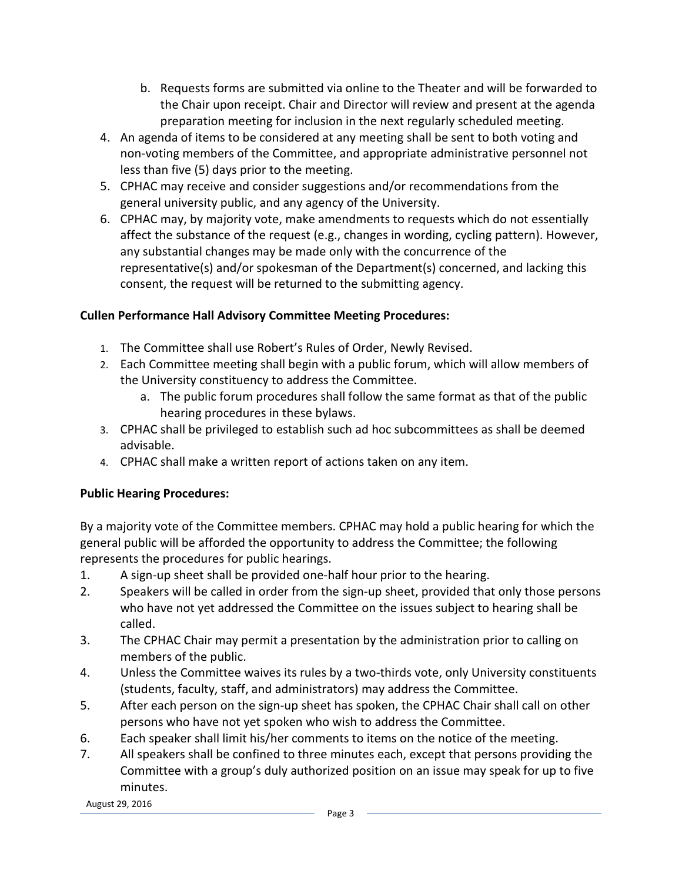- b. Requests forms are submitted via online to the Theater and will be forwarded to the Chair upon receipt. Chair and Director will review and present at the agenda preparation meeting for inclusion in the next regularly scheduled meeting.
- 4. An agenda of items to be considered at any meeting shall be sent to both voting and non-voting members of the Committee, and appropriate administrative personnel not less than five (5) days prior to the meeting.
- 5. CPHAC may receive and consider suggestions and/or recommendations from the general university public, and any agency of the University.
- 6. CPHAC may, by majority vote, make amendments to requests which do not essentially affect the substance of the request (e.g., changes in wording, cycling pattern). However, any substantial changes may be made only with the concurrence of the representative(s) and/or spokesman of the Department(s) concerned, and lacking this consent, the request will be returned to the submitting agency.

# **Cullen Performance Hall Advisory Committee Meeting Procedures:**

- 1. The Committee shall use Robert's Rules of Order, Newly Revised.
- 2. Each Committee meeting shall begin with a public forum, which will allow members of the University constituency to address the Committee.
	- a. The public forum procedures shall follow the same format as that of the public hearing procedures in these bylaws.
- 3. CPHAC shall be privileged to establish such ad hoc subcommittees as shall be deemed advisable.
- 4. CPHAC shall make a written report of actions taken on any item.

## **Public Hearing Procedures:**

By a majority vote of the Committee members. CPHAC may hold a public hearing for which the general public will be afforded the opportunity to address the Committee; the following represents the procedures for public hearings.

- 1. A sign-up sheet shall be provided one-half hour prior to the hearing.
- 2. Speakers will be called in order from the sign-up sheet, provided that only those persons who have not yet addressed the Committee on the issues subject to hearing shall be called.
- 3. The CPHAC Chair may permit a presentation by the administration prior to calling on members of the public.
- 4. Unless the Committee waives its rules by a two-thirds vote, only University constituents (students, faculty, staff, and administrators) may address the Committee.
- 5. After each person on the sign-up sheet has spoken, the CPHAC Chair shall call on other persons who have not yet spoken who wish to address the Committee.
- 6. Each speaker shall limit his/her comments to items on the notice of the meeting.
- 7. All speakers shall be confined to three minutes each, except that persons providing the Committee with a group's duly authorized position on an issue may speak for up to five minutes.

August 29, 2016